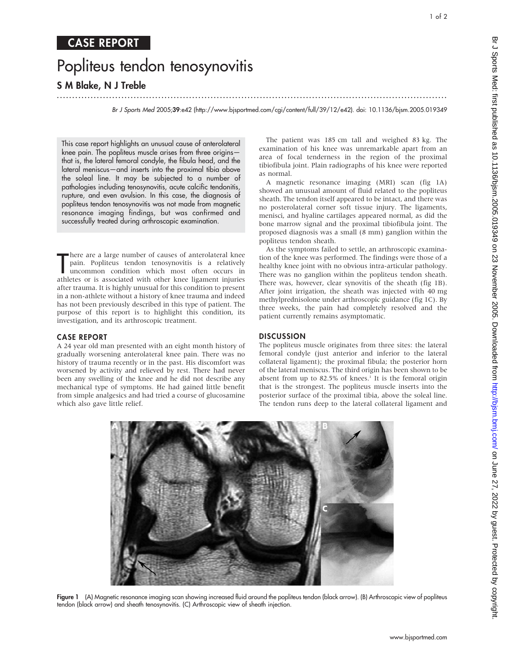# Popliteus tendon tenosynovitis

# S M Blake, N J Treble

Br J Sports Med 2005;39:e42 (http://www.bjsportmed.com/cgi/content/full/39/12/e42). doi: 10.1136/bjsm.2005.019349

This case report highlights an unusual cause of anterolateral knee pain. The popliteus muscle arises from three origins that is, the lateral femoral condyle, the fibula head, and the lateral meniscus—and inserts into the proximal tibia above the soleal line. It may be subjected to a number of pathologies including tenosynovitis, acute calcific tendonitis, rupture, and even avulsion. In this case, the diagnosis of popliteus tendon tenosynovitis was not made from magnetic resonance imaging findings, but was confirmed and successfully treated during arthroscopic examination.

There are a large number of causes of anterolateral knee<br>
pain. Popliteus tendon tenosynovitis is a relatively<br>
uncommon condition which most often occurs in<br>
athletes or is associated with other knee ligament injuries here are a large number of causes of anterolateral knee pain. Popliteus tendon tenosynovitis is a relatively uncommon condition which most often occurs in after trauma. It is highly unusual for this condition to present in a non-athlete without a history of knee trauma and indeed has not been previously described in this type of patient. The purpose of this report is to highlight this condition, its investigation, and its arthroscopic treatment.

# CASE REPORT

A 24 year old man presented with an eight month history of gradually worsening anterolateral knee pain. There was no history of trauma recently or in the past. His discomfort was worsened by activity and relieved by rest. There had never been any swelling of the knee and he did not describe any mechanical type of symptoms. He had gained little benefit from simple analgesics and had tried a course of glucosamine which also gave little relief.

The patient was 185 cm tall and weighed 83 kg. The examination of his knee was unremarkable apart from an area of focal tenderness in the region of the proximal tibiofibula joint. Plain radiographs of his knee were reported as normal.

...............................................................................................................................

A magnetic resonance imaging (MRI) scan (fig 1A) showed an unusual amount of fluid related to the popliteus sheath. The tendon itself appeared to be intact, and there was no posterolateral corner soft tissue injury. The ligaments, menisci, and hyaline cartilages appeared normal, as did the bone marrow signal and the proximal tibiofibula joint. The proposed diagnosis was a small (8 mm) ganglion within the popliteus tendon sheath.

As the symptoms failed to settle, an arthroscopic examination of the knee was performed. The findings were those of a healthy knee joint with no obvious intra-articular pathology. There was no ganglion within the popliteus tendon sheath. There was, however, clear synovitis of the sheath (fig 1B). After joint irrigation, the sheath was injected with 40 mg methylprednisolone under arthroscopic guidance (fig 1C). By three weeks, the pain had completely resolved and the patient currently remains asymptomatic.

# **DISCUSSION**

The popliteus muscle originates from three sites: the lateral femoral condyle (just anterior and inferior to the lateral collateral ligament); the proximal fibula; the posterior horn of the lateral meniscus. The third origin has been shown to be absent from up to  $82.5\%$  of knees.<sup>1</sup> It is the femoral origin that is the strongest. The popliteus muscle inserts into the posterior surface of the proximal tibia, above the soleal line. The tendon runs deep to the lateral collateral ligament and



Figure 1 (A) Magnetic resonance imaging scan showing increased fluid around the popliteus tendon (black arrow). (B) Arthroscopic view of popliteus tendon (black arrow) and sheath tenosynovitis. (C) Arthroscopic view of sheath injection.